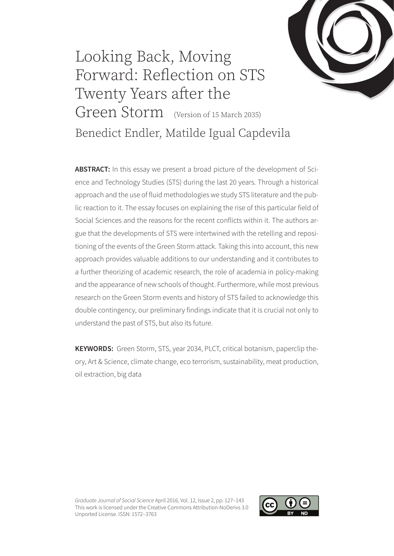

# Looking Back, Moving Forward: Reflection on STS Twenty Years after the Green Storm (Version of 15 March 2035) Benedict Endler, Matilde Igual Capdevila

ABSTRACT: In this essay we present a broad picture of the development of Science and Technology Studies (STS) during the last 20 years. Through a historical approach and the use of fluid methodologies we study STS literature and the public reaction to it. The essay focuses on explaining the rise of this particular field of Social Sciences and the reasons for the recent conflicts within it. The authors argue that the developments of STS were intertwined with the retelling and repositioning of the events of the Green Storm attack. Taking this into account, this new approach provides valuable additions to our understanding and it contributes to a further theorizing of academic research, the role of academia in policy-making and the appearance of new schools of thought. Furthermore, while most previous research on the Green Storm events and history of STS failed to acknowledge this double contingency, our preliminary findings indicate that it is crucial not only to understand the past of STS, but also its future.

**KEYWORDS:** Green Storm, STS, year 2034, PLCT, critical botanism, paperclip theory, Art & Science, climate change, eco terrorism, sustainability, meat production, oil extraction, big data

*Graduate Journal of Social Science* April 2016, Vol. 12, Issue 2, pp. 127–143 This work is licensed under the Creative Commons Attribution-NoDerivs 3.0 Unported License. ISSN: 1572–3763

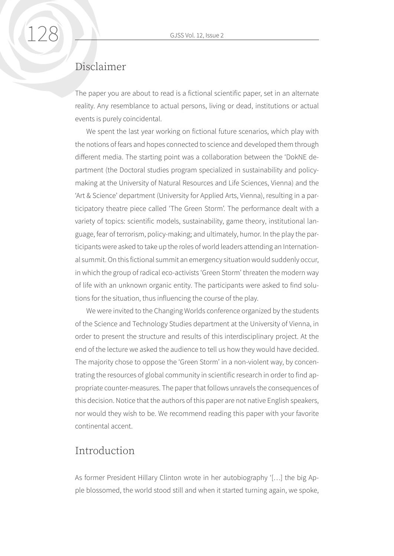### Disclaimer

The paper you are about to read is a fictional scientific paper, set in an alternate reality. Any resemblance to actual persons, living or dead, institutions or actual events is purely coincidental.

We spent the last year working on fictional future scenarios, which play with the notions of fears and hopes connected to science and developed them through different media. The starting point was a collaboration between the 'DokNE department (the Doctoral studies program specialized in sustainability and policymaking at the University of Natural Resources and Life Sciences, Vienna) and the 'Art & Science' department (University for Applied Arts, Vienna), resulting in a participatory theatre piece called 'The Green Storm'. The performance dealt with a variety of topics: scientific models, sustainability, game theory, institutional language, fear of terrorism, policy-making; and ultimately, humor. In the play the participants were asked to take up the roles of world leaders attending an International summit. On this fictional summit an emergency situation would suddenly occur, in which the group of radical eco-activists 'Green Storm' threaten the modern way of life with an unknown organic entity. The participants were asked to find solutions for the situation, thus influencing the course of the play.

We were invited to the Changing Worlds conference organized by the students of the Science and Technology Studies department at the University of Vienna, in order to present the structure and results of this interdisciplinary project. At the end of the lecture we asked the audience to tell us how they would have decided. The majority chose to oppose the 'Green Storm' in a non-violent way, by concentrating the resources of global community in scientific research in order to find appropriate counter-measures. The paper that follows unravels the consequences of this decision. Notice that the authors of this paper are not native English speakers, nor would they wish to be. We recommend reading this paper with your favorite continental accent.

#### Introduction

As former President Hillary Clinton wrote in her autobiography '[…] the big Apple blossomed, the world stood still and when it started turning again, we spoke,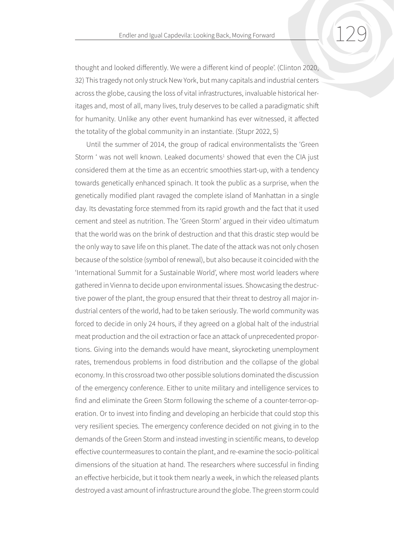thought and looked differently. We were a different kind of people'. (Clinton 2020, 32) This tragedy not only struck New York, but many capitals and industrial centers across the globe, causing the loss of vital infrastructures, invaluable historical heritages and, most of all, many lives, truly deserves to be called a paradigmatic shift for humanity. Unlike any other event humankind has ever witnessed, it affected the totality of the global community in an instantiate. (Stupr 2022, 5)

Until the summer of 2014, the group of radical environmentalists the 'Green Storm ' was not well known. Leaked documents<sup>1</sup> showed that even the CIA just considered them at the time as an eccentric smoothies start-up, with a tendency towards genetically enhanced spinach. It took the public as a surprise, when the genetically modified plant ravaged the complete island of Manhattan in a single day. Its devastating force stemmed from its rapid growth and the fact that it used cement and steel as nutrition. The 'Green Storm' argued in their video ultimatum that the world was on the brink of destruction and that this drastic step would be the only way to save life on this planet. The date of the attack was not only chosen because of the solstice (symbol of renewal), but also because it coincided with the 'International Summit for a Sustainable World', where most world leaders where gathered in Vienna to decide upon environmental issues. Showcasing the destructive power of the plant, the group ensured that their threat to destroy all major industrial centers of the world, had to be taken seriously. The world community was forced to decide in only 24 hours, if they agreed on a global halt of the industrial meat production and the oil extraction or face an attack of unprecedented proportions. Giving into the demands would have meant, skyrocketing unemployment rates, tremendous problems in food distribution and the collapse of the global economy. In this crossroad two other possible solutions dominated the discussion of the emergency conference. Either to unite military and intelligence services to find and eliminate the Green Storm following the scheme of a counter-terror-operation. Or to invest into finding and developing an herbicide that could stop this very resilient species. The emergency conference decided on not giving in to the demands of the Green Storm and instead investing in scientific means, to develop effective countermeasures to contain the plant, and re-examine the socio-political dimensions of the situation at hand. The researchers where successful in finding an effective herbicide, but it took them nearly a week, in which the released plants destroyed a vast amount of infrastructure around the globe. The green storm could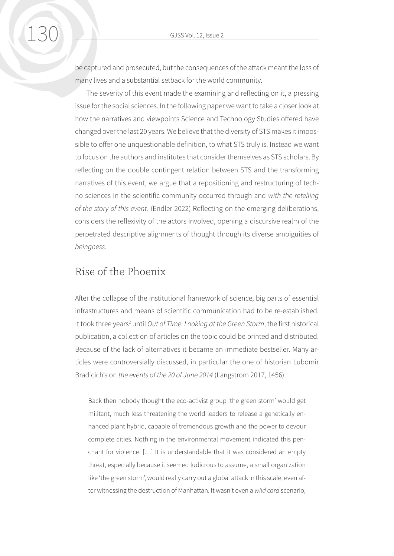be captured and prosecuted, but the consequences of the attack meant the loss of many lives and a substantial setback for the world community.

The severity of this event made the examining and reflecting on it, a pressing issue for the social sciences. In the following paper we want to take a closer look at how the narratives and viewpoints Science and Technology Studies offered have changed over the last 20 years. We believe that the diversity of STS makes it impossible to offer one unquestionable definition, to what STS truly is. Instead we want to focus on the authors and institutes that consider themselves as STS scholars. By reflecting on the double contingent relation between STS and the transforming narratives of this event, we argue that a repositioning and restructuring of techno sciences in the scientific community occurred through and *with the retelling of the story of this event.* (Endler 2022) Reflecting on the emerging deliberations, considers the reflexivity of the actors involved, opening a discursive realm of the perpetrated descriptive alignments of thought through its diverse ambiguities of *beingness*.

#### Rise of the Phoenix

After the collapse of the institutional framework of science, big parts of essential infrastructures and means of scientific communication had to be re-established. It took three years<sup>2</sup> until Out of Time. Looking at the Green Storm, the first historical publication, a collection of articles on the topic could be printed and distributed. Because of the lack of alternatives it became an immediate bestseller. Many articles were controversially discussed, in particular the one of historian Lubomir Bradicich's on *the events of the 20 of June 2014* (Langstrom 2017, 1456).

Back then nobody thought the eco-activist group 'the green storm' would get militant, much less threatening the world leaders to release a genetically enhanced plant hybrid, capable of tremendous growth and the power to devour complete cities. Nothing in the environmental movement indicated this penchant for violence. […] It is understandable that it was considered an empty threat, especially because it seemed ludicrous to assume, a small organization like 'the green storm', would really carry out a global attack in this scale, even after witnessing the destruction of Manhattan. It wasn't even a *wild card* scenario,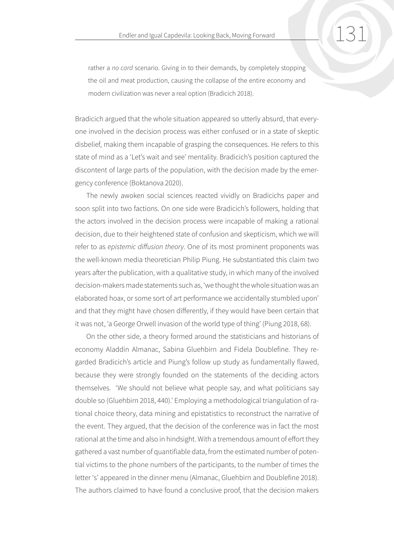rather a *no card* scenario. Giving in to their demands, by completely stopping the oil and meat production, causing the collapse of the entire economy and modern civilization was never a real option (Bradicich 2018).

Bradicich argued that the whole situation appeared so utterly absurd, that everyone involved in the decision process was either confused or in a state of skeptic disbelief, making them incapable of grasping the consequences. He refers to this state of mind as a 'Let's wait and see' mentality. Bradicich's position captured the discontent of large parts of the population, with the decision made by the emergency conference (Boktanova 2020).

The newly awoken social sciences reacted vividly on Bradicichs paper and soon split into two factions. On one side were Bradicich's followers, holding that the actors involved in the decision process were incapable of making a rational decision, due to their heightened state of confusion and skepticism, which we will refer to as *epistemic diffusion theory*. One of its most prominent proponents was the well-known media theoretician Philip Piung. He substantiated this claim two years after the publication, with a qualitative study, in which many of the involved decision-makers made statements such as, 'we thought the whole situation was an elaborated hoax, or some sort of art performance we accidentally stumbled upon' and that they might have chosen differently, if they would have been certain that it was not, 'a George Orwell invasion of the world type of thing' (Piung 2018, 68).

On the other side, a theory formed around the statisticians and historians of economy Aladdin Almanac, Sabina Gluehbirn and Fidela Doublefine. They regarded Bradicich's article and Piung's follow up study as fundamentally flawed, because they were strongly founded on the statements of the deciding actors themselves. 'We should not believe what people say, and what politicians say double so (Gluehbirn 2018, 440).' Employing a methodological triangulation of rational choice theory, data mining and epistatistics to reconstruct the narrative of the event. They argued, that the decision of the conference was in fact the most rational at the time and also in hindsight. With a tremendous amount of effort they gathered a vast number of quantifiable data, from the estimated number of potential victims to the phone numbers of the participants, to the number of times the letter 's' appeared in the dinner menu (Almanac, Gluehbirn and Doublefine 2018). The authors claimed to have found a conclusive proof, that the decision makers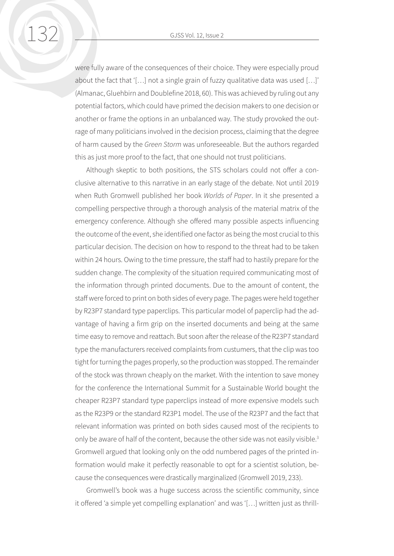were fully aware of the consequences of their choice. They were especially proud about the fact that '[…] not a single grain of fuzzy qualitative data was used […]' (Almanac, Gluehbirn and Doublefine 2018, 60). This was achieved by ruling out any potential factors, which could have primed the decision makers to one decision or another or frame the options in an unbalanced way. The study provoked the outrage of many politicians involved in the decision process, claiming that the degree of harm caused by the *Green Storm* was unforeseeable. But the authors regarded this as just more proof to the fact, that one should not trust politicians.

Although skeptic to both positions, the STS scholars could not offer a conclusive alternative to this narrative in an early stage of the debate. Not until 2019 when Ruth Gromwell published her book *Worlds of Paper*. In it she presented a compelling perspective through a thorough analysis of the material matrix of the emergency conference. Although she offered many possible aspects influencing the outcome of the event, she identified one factor as being the most crucial to this particular decision. The decision on how to respond to the threat had to be taken within 24 hours. Owing to the time pressure, the staff had to hastily prepare for the sudden change. The complexity of the situation required communicating most of the information through printed documents. Due to the amount of content, the staff were forced to print on both sides of every page. The pages were held together by R23P7 standard type paperclips. This particular model of paperclip had the advantage of having a firm grip on the inserted documents and being at the same time easy to remove and reattach. But soon after the release of the R23P7 standard type the manufacturers received complaints from custumers, that the clip was too tight for turning the pages properly, so the production was stopped. The remainder of the stock was thrown cheaply on the market. With the intention to save money for the conference the International Summit for a Sustainable World bought the cheaper R23P7 standard type paperclips instead of more expensive models such as the R23P9 or the standard R23P1 model. The use of the R23P7 and the fact that relevant information was printed on both sides caused most of the recipients to only be aware of half of the content, because the other side was not easily visible.<sup>3</sup> Gromwell argued that looking only on the odd numbered pages of the printed information would make it perfectly reasonable to opt for a scientist solution, because the consequences were drastically marginalized (Gromwell 2019, 233).

Gromwell's book was a huge success across the scientific community, since it offered 'a simple yet compelling explanation' and was '[…] written just as thrill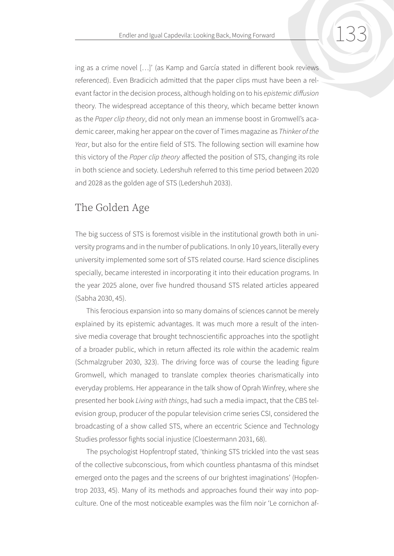ing as a crime novel […]' (as Kamp and García stated in different book reviews referenced). Even Bradicich admitted that the paper clips must have been a relevant factor in the decision process, although holding on to his *epistemic diffusion*  theory. The widespread acceptance of this theory, which became better known as the *Paper clip theory*, did not only mean an immense boost in Gromwell's academic career, making her appear on the cover of Times magazine as *Thinker of the Year*, but also for the entire field of STS. The following section will examine how this victory of the *Paper clip theory* affected the position of STS, changing its role in both science and society. Ledershuh referred to this time period between 2020 and 2028 as the golden age of STS (Ledershuh 2033).

# The Golden Age

The big success of STS is foremost visible in the institutional growth both in university programs and in the number of publications. In only 10 years, literally every university implemented some sort of STS related course. Hard science disciplines specially, became interested in incorporating it into their education programs. In the year 2025 alone, over five hundred thousand STS related articles appeared (Sabha 2030, 45).

This ferocious expansion into so many domains of sciences cannot be merely explained by its epistemic advantages. It was much more a result of the intensive media coverage that brought technoscientific approaches into the spotlight of a broader public, which in return affected its role within the academic realm (Schmalzgruber 2030, 323). The driving force was of course the leading figure Gromwell, which managed to translate complex theories charismatically into everyday problems. Her appearance in the talk show of Oprah Winfrey, where she presented her book *Living with things*, had such a media impact, that the CBS television group, producer of the popular television crime series CSI, considered the broadcasting of a show called STS, where an eccentric Science and Technology Studies professor fights social injustice (Cloestermann 2031, 68).

The psychologist Hopfentropf stated, 'thinking STS trickled into the vast seas of the collective subconscious, from which countless phantasma of this mindset emerged onto the pages and the screens of our brightest imaginations' (Hopfentrop 2033, 45). Many of its methods and approaches found their way into popculture. One of the most noticeable examples was the film noir 'Le cornichon af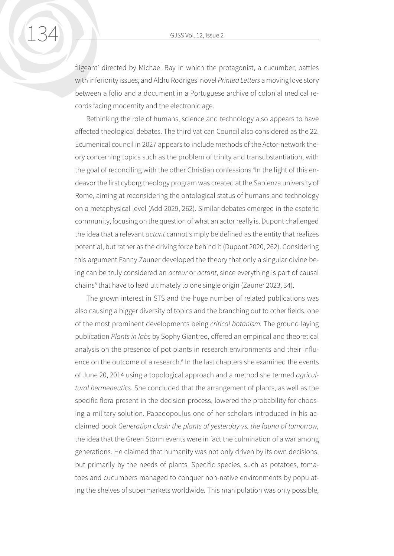fligeant' directed by Michael Bay in which the protagonist, a cucumber, battles with inferiority issues, and Aldru Rodriges' novel *Printed Letters* a moving love story between a folio and a document in a Portuguese archive of colonial medical records facing modernity and the electronic age.

Rethinking the role of humans, science and technology also appears to have affected theological debates. The third Vatican Council also considered as the 22. Ecumenical council in 2027 appears to include methods of the Actor-network theory concerning topics such as the problem of trinity and transubstantiation, with the goal of reconciling with the other Christian confessions.<sup>4</sup>In the light of this endeavor the first cyborg theology program was created at the Sapienza university of Rome, aiming at reconsidering the ontological status of humans and technology on a metaphysical level (Add 2029, 262). Similar debates emerged in the esoteric community, focusing on the question of what an actor really is. Dupont challenged the idea that a relevant *actant* cannot simply be defined as the entity that realizes potential, but rather as the driving force behind it (Dupont 2020, 262). Considering this argument Fanny Zauner developed the theory that only a singular divine being can be truly considered an *acteur* or *actant*, since everything is part of causal chains<sup>5</sup> that have to lead ultimately to one single origin (Zauner 2023, 34).

The grown interest in STS and the huge number of related publications was also causing a bigger diversity of topics and the branching out to other fields, one of the most prominent developments being *critical botanism.* The ground laying publication *Plants in labs* by Sophy Giantree, offered an empirical and theoretical analysis on the presence of pot plants in research environments and their influence on the outcome of a research.<sup>6</sup> In the last chapters she examined the events of June 20, 2014 using a topological approach and a method she termed *agricultural hermeneutics*. She concluded that the arrangement of plants, as well as the specific flora present in the decision process, lowered the probability for choosing a military solution. Papadopoulus one of her scholars introduced in his acclaimed book *Generation clash: the plants of yesterday vs. the fauna of tomorrow,*  the idea that the Green Storm events were in fact the culmination of a war among generations. He claimed that humanity was not only driven by its own decisions, but primarily by the needs of plants. Specific species, such as potatoes, tomatoes and cucumbers managed to conquer non-native environments by populating the shelves of supermarkets worldwide. This manipulation was only possible,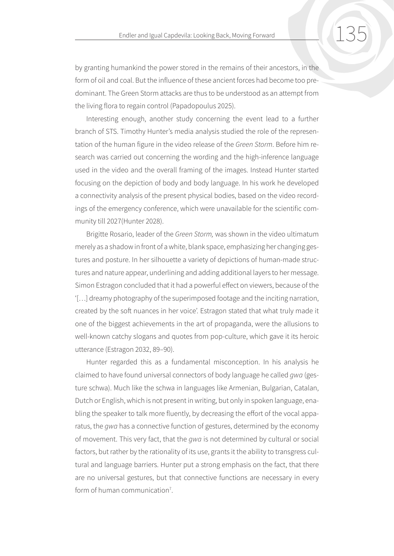by granting humankind the power stored in the remains of their ancestors, in the form of oil and coal. But the influence of these ancient forces had become too predominant. The Green Storm attacks are thus to be understood as an attempt from the living flora to regain control (Papadopoulus 2025).

Interesting enough, another study concerning the event lead to a further branch of STS. Timothy Hunter's media analysis studied the role of the representation of the human figure in the video release of the *Green Storm*. Before him research was carried out concerning the wording and the high-inference language used in the video and the overall framing of the images. Instead Hunter started focusing on the depiction of body and body language. In his work he developed a connectivity analysis of the present physical bodies, based on the video recordings of the emergency conference, which were unavailable for the scientific community till 2027(Hunter 2028).

Brigitte Rosario, leader of the *Green Storm,* was shown in the video ultimatum merely as a shadow in front of a white, blank space, emphasizing her changing gestures and posture. In her silhouette a variety of depictions of human-made structures and nature appear, underlining and adding additional layers to her message. Simon Estragon concluded that it had a powerful effect on viewers, because of the '[…] dreamy photography of the superimposed footage and the inciting narration, created by the soft nuances in her voice'. Estragon stated that what truly made it one of the biggest achievements in the art of propaganda, were the allusions to well-known catchy slogans and quotes from pop-culture, which gave it its heroic utterance (Estragon 2032, 89–90).

Hunter regarded this as a fundamental misconception. In his analysis he claimed to have found universal connectors of body language he called *gwa* (gesture schwa). Much like the schwa in languages like Armenian, Bulgarian, Catalan, Dutch or English, which is not present in writing, but only in spoken language, enabling the speaker to talk more fluently, by decreasing the effort of the vocal apparatus, the *gwa* has a connective function of gestures, determined by the economy of movement. This very fact, that the *gwa* is not determined by cultural or social factors, but rather by the rationality of its use, grants it the ability to transgress cultural and language barriers. Hunter put a strong emphasis on the fact, that there are no universal gestures, but that connective functions are necessary in every form of human communication<sup>7</sup>.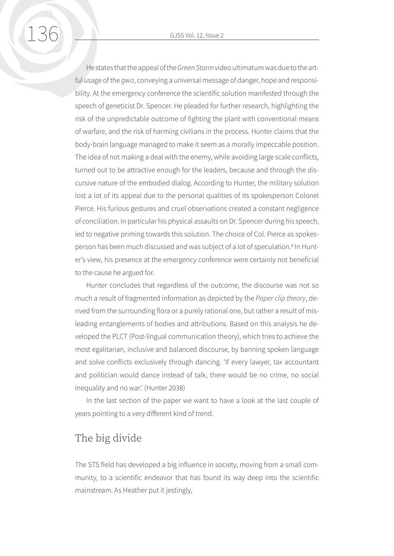He states that the appeal of the *Green Storm* video ultimatum was due to the artful usage of the *gwa*, conveying a universal message of danger, hope and responsibility. At the emergency conference the scientific solution manifested through the speech of geneticist Dr. Spencer. He pleaded for further research, highlighting the risk of the unpredictable outcome of fighting the plant with conventional means of warfare, and the risk of harming civilians in the process. Hunter claims that the body-brain language managed to make it seem as a morally impeccable position. The idea of not making a deal with the enemy, while avoiding large scale conflicts, turned out to be attractive enough for the leaders, because and through the discursive nature of the embodied dialog. According to Hunter, the military solution lost a lot of its appeal due to the personal qualities of its spokesperson Colonel Pierce. His furious gestures and cruel observations created a constant negligence of conciliation. In particular his physical assaults on Dr. Spencer during his speech, led to negative priming towards this solution. The choice of Col. Pierce as spokesperson has been much discussed and was subject of a lot of speculation.<sup>8</sup> In Hunter's view, his presence at the emergency conference were certainly not beneficial to the cause he argued for.

Hunter concludes that regardless of the outcome, the discourse was not so much a result of fragmented information as depicted by the *Paper clip theory*, derived from the surrounding flora or a purely rational one, but rather a result of misleading entanglements of bodies and attributions. Based on this analysis he developed the PLCT (Post-lingual communication theory), which tries to achieve the most egalitarian, inclusive and balanced discourse, by banning spoken language and solve conflicts exclusively through dancing. 'If every lawyer, tax accountant and politician would dance instead of talk, there would be no crime, no social inequality and no war.' (Hunter 2038)

In the last section of the paper we want to have a look at the last couple of years pointing to a very different kind of trend.

#### The big divide

The STS field has developed a big influence in society, moving from a small community, to a scientific endeavor that has found its way deep into the scientific mainstream. As Heather put it jestingly,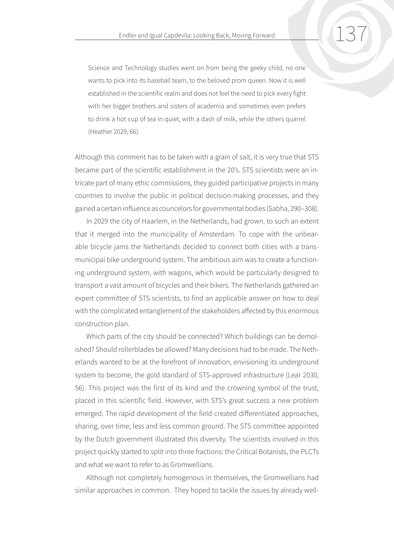Science and Technology studies went on from being the geeky child, no one wants to pick into its baseball team, to the beloved prom queen. Now it is well established in the scientific realm and does not feel the need to pick every fight with her bigger brothers and sisters of academia and sometimes even prefers to drink a hot cup of tea in quiet, with a dash of milk, while the others quarrel (Heather 2029, 66).

Although this comment has to be taken with a grain of salt, it is very true that STS became part of the scientific establishment in the 20's. STS scientists were an intricate part of many ethic commissions, they guided participative projects in many countries to involve the public in political decision-making processes, and they gained a certain influence as councelors for governmental bodies (Sabha, 290–308).

In 2029 the city of Haarlem, in the Netherlands, had grown, to such an extent that it merged into the municipality of Amsterdam. To cope with the unbearable bicycle jams the Netherlands decided to connect both cities with a transmunicipal bike underground system. The ambitious aim was to create a functioning underground system, with wagons, which would be particularly designed to transport a vast amount of bicycles and their bikers. The Netherlands gathered an expert committee of STS scientists, to find an applicable answer on how to deal with the complicated entanglement of the stakeholders affected by this enormous construction plan.

Which parts of the city should be connected? Which buildings can be demolished? Should rollerblades be allowed? Many decisions had to be made. The Netherlands wanted to be at the forefront of innovation, envisioning its underground system to become, the gold standard of STS-approved infrastructure (Lear 2030, 56). This project was the first of its kind and the crowning symbol of the trust, placed in this scientific field. However, with STS's great success a new problem emerged. The rapid development of the field created differentiated approaches, sharing, over time, less and less common ground. The STS committee appointed by the Dutch government illustrated this diversity. The scientists involved in this project quickly started to split into three fractions: the Critical Botanists, the PLCTs and what we want to refer to as Gromwellians.

Although not completely homogenous in themselves, the Gromwellians had similar approaches in common. They hoped to tackle the issues by already well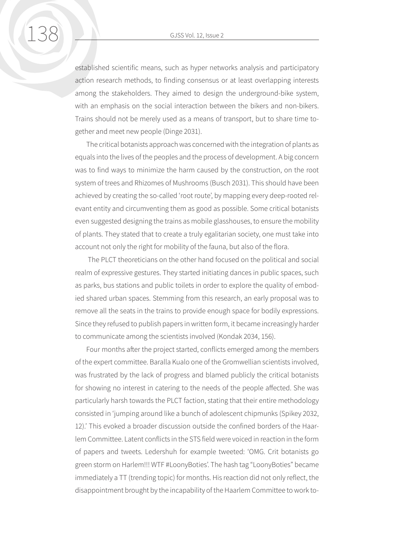established scientific means, such as hyper networks analysis and participatory action research methods, to finding consensus or at least overlapping interests among the stakeholders. They aimed to design the underground-bike system, with an emphasis on the social interaction between the bikers and non-bikers. Trains should not be merely used as a means of transport, but to share time together and meet new people (Dinge 2031).

The critical botanists approach was concerned with the integration of plants as equals into the lives of the peoples and the process of development. A big concern was to find ways to minimize the harm caused by the construction, on the root system of trees and Rhizomes of Mushrooms (Busch 2031). This should have been achieved by creating the so-called 'root route', by mapping every deep-rooted relevant entity and circumventing them as good as possible. Some critical botanists even suggested designing the trains as mobile glasshouses, to ensure the mobility of plants. They stated that to create a truly egalitarian society, one must take into account not only the right for mobility of the fauna, but also of the flora.

 The PLCT theoreticians on the other hand focused on the political and social realm of expressive gestures. They started initiating dances in public spaces, such as parks, bus stations and public toilets in order to explore the quality of embodied shared urban spaces. Stemming from this research, an early proposal was to remove all the seats in the trains to provide enough space for bodily expressions. Since they refused to publish papers in written form, it became increasingly harder to communicate among the scientists involved (Kondak 2034, 156).

Four months after the project started, conflicts emerged among the members of the expert committee. Baralla Kualo one of the Gromwellian scientists involved, was frustrated by the lack of progress and blamed publicly the critical botanists for showing no interest in catering to the needs of the people affected. She was particularly harsh towards the PLCT faction, stating that their entire methodology consisted in 'jumping around like a bunch of adolescent chipmunks (Spikey 2032, 12).' This evoked a broader discussion outside the confined borders of the Haarlem Committee. Latent conflicts in the STS field were voiced in reaction in the form of papers and tweets. Ledershuh for example tweeted: 'OMG. Crit botanists go green storm on Harlem!!! WTF #LoonyBoties'. The hash tag "LoonyBoties" became immediately a TT (trending topic) for months. His reaction did not only reflect, the disappointment brought by the incapability of the Haarlem Committee to work to-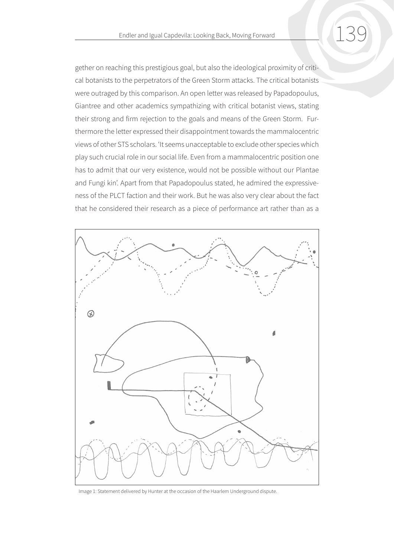gether on reaching this prestigious goal, but also the ideological proximity of critical botanists to the perpetrators of the Green Storm attacks. The critical botanists were outraged by this comparison. An open letter was released by Papadopoulus, Giantree and other academics sympathizing with critical botanist views, stating their strong and firm rejection to the goals and means of the Green Storm. Furthermore the letter expressed their disappointment towards the mammalocentric views of other STS scholars. 'It seems unacceptable to exclude other species which play such crucial role in our social life. Even from a mammalocentric position one has to admit that our very existence, would not be possible without our Plantae and Fungi kin'. Apart from that Papadopoulus stated, he admired the expressiveness of the PLCT faction and their work. But he was also very clear about the fact that he considered their research as a piece of performance art rather than as a



Image 1: Statement delivered by Hunter at the occasion of the Haarlem Underground dispute.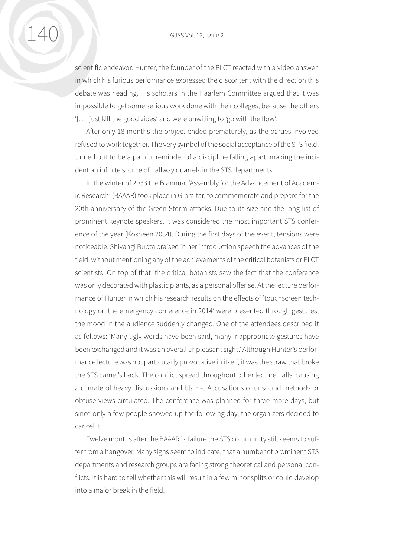scientific endeavor. Hunter, the founder of the PLCT reacted with a video answer, in which his furious performance expressed the discontent with the direction this debate was heading. His scholars in the Haarlem Committee argued that it was impossible to get some serious work done with their colleges, because the others '[…] just kill the good vibes' and were unwilling to 'go with the flow'.

After only 18 months the project ended prematurely, as the parties involved refused to work together. The very symbol of the social acceptance of the STS field, turned out to be a painful reminder of a discipline falling apart, making the incident an infinite source of hallway quarrels in the STS departments.

In the winter of 2033 the Biannual 'Assembly for the Advancement of Academic Research' (BAAAR) took place in Gibraltar, to commemorate and prepare for the 20th anniversary of the Green Storm attacks. Due to its size and the long list of prominent keynote speakers, it was considered the most important STS conference of the year (Kosheen 2034). During the first days of the event, tensions were noticeable. Shivangi Bupta praised in her introduction speech the advances of the field, without mentioning any of the achievements of the critical botanists or PLCT scientists. On top of that, the critical botanists saw the fact that the conference was only decorated with plastic plants, as a personal offense. At the lecture performance of Hunter in which his research results on the effects of 'touchscreen technology on the emergency conference in 2014' were presented through gestures, the mood in the audience suddenly changed. One of the attendees described it as follows: 'Many ugly words have been said, many inappropriate gestures have been exchanged and it was an overall unpleasant sight.' Although Hunter's performance lecture was not particularly provocative in itself, it was the straw that broke the STS camel's back. The conflict spread throughout other lecture halls, causing a climate of heavy discussions and blame. Accusations of unsound methods or obtuse views circulated. The conference was planned for three more days, but since only a few people showed up the following day, the organizers decided to cancel it.

Twelve months after the BAAAR´s failure the STS community still seems to suffer from a hangover. Many signs seem to indicate, that a number of prominent STS departments and research groups are facing strong theoretical and personal conflicts. It is hard to tell whether this will result in a few minor splits or could develop into a major break in the field.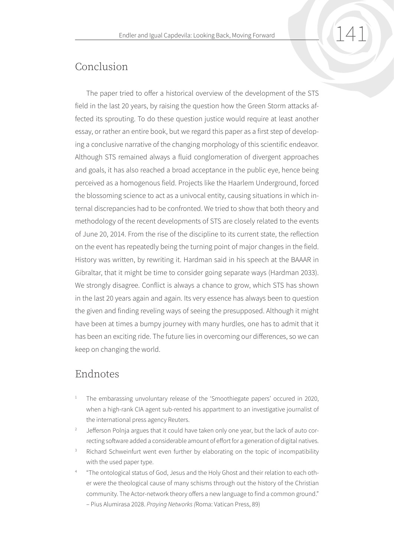# Conclusion

The paper tried to offer a historical overview of the development of the STS field in the last 20 years, by raising the question how the Green Storm attacks affected its sprouting. To do these question justice would require at least another essay, or rather an entire book, but we regard this paper as a first step of developing a conclusive narrative of the changing morphology of this scientific endeavor. Although STS remained always a fluid conglomeration of divergent approaches and goals, it has also reached a broad acceptance in the public eye, hence being perceived as a homogenous field. Projects like the Haarlem Underground, forced the blossoming science to act as a univocal entity, causing situations in which internal discrepancies had to be confronted. We tried to show that both theory and methodology of the recent developments of STS are closely related to the events of June 20, 2014. From the rise of the discipline to its current state, the reflection on the event has repeatedly being the turning point of major changes in the field. History was written, by rewriting it. Hardman said in his speech at the BAAAR in Gibraltar, that it might be time to consider going separate ways (Hardman 2033). We strongly disagree. Conflict is always a chance to grow, which STS has shown in the last 20 years again and again. Its very essence has always been to question the given and finding reveling ways of seeing the presupposed. Although it might have been at times a bumpy journey with many hurdles, one has to admit that it has been an exciting ride. The future lies in overcoming our differences, so we can keep on changing the world.

# Endnotes

- <sup>1</sup> The embarassing unvoluntary release of the 'Smoothiegate papers' occured in 2020, when a high-rank CIA agent sub-rented his appartment to an investigative journalist of the international press agency Reuters.
- <sup>2</sup> Jefferson Polnja argues that it could have taken only one year, but the lack of auto correcting software added a considerable amount of effort for a generation of digital natives.
- <sup>3</sup> Richard Schweinfurt went even further by elaborating on the topic of incompatibility with the used paper type.
- <sup>4</sup> "The ontological status of God, Jesus and the Holy Ghost and their relation to each other were the theological cause of many schisms through out the history of the Christian community. The Actor-network theory offers a new language to find a common ground." – Pius Alumirasa 2028. *Praying Networks (*Roma: Vatican Press, 89)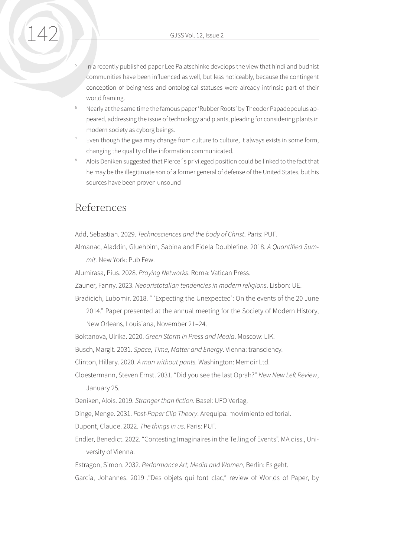- In a recently published paper Lee Palatschinke develops the view that hindi and budhist communities have been influenced as well, but less noticeably, because the contingent conception of beingness and ontological statuses were already intrinsic part of their world framing.
- <sup>6</sup> Nearly at the same time the famous paper 'Rubber Roots' by Theodor Papadopoulus appeared, addressing the issue of technology and plants, pleading for considering plants in modern society as cyborg beings.
- Even though the gwa may change from culture to culture, it always exists in some form, changing the quality of the information communicated.
- <sup>8</sup> Alois Deniken suggested that Pierce´s privileged position could be linked to the fact that he may be the illegitimate son of a former general of defense of the United States, but his sources have been proven unsound

#### References

Add, Sebastian. 2029. *Technosciences and the body of Christ*. Paris: PUF.

Almanac, Aladdin, Gluehbirn, Sabina and Fidela Doublefine. 2018. *A Quantified Summit.* New York: Pub Few.

Alumirasa, Pius. 2028. *Praying Networks*. Roma: Vatican Press.

Zauner, Fanny. 2023. *Neoaristotalian tendencies in modern religions*. Lisbon: UE.

Bradicich, Lubomir. 2018. " 'Expecting the Unexpected': On the events of the 20 June

2014." Paper presented at the annual meeting for the Society of Modern History, New Orleans, Louisiana, November 21–24.

Boktanova, Ulrika. 2020. *Green Storm in Press and Media*. Moscow: LIK.

Busch, Margit. 2031. *Space, Time, Matter and Energy*. Vienna: transciency.

Clinton, Hillary. 2020. *A man without pants.* Washington: Memoir Ltd.

Cloestermann, Steven Ernst. 2031. "Did you see the last Oprah?" *New New Left Review*, January 25.

Deniken, Alois. 2019. *Stranger than fiction.* Basel: UFO Verlag.

Dinge, Menge. 2031. *Post-Paper Clip Theory*. Arequipa: movimiento editorial.

Dupont, Claude. 2022. *The things in us*. Paris: PUF.

Endler, Benedict. 2022. "Contesting Imaginaires in the Telling of Events". MA diss., University of Vienna.

Estragon, Simon. 2032. *Performance Art, Media and Women*, Berlin: Es geht.

García, Johannes. 2019 ."Des objets qui font clac," review of Worlds of Paper, by